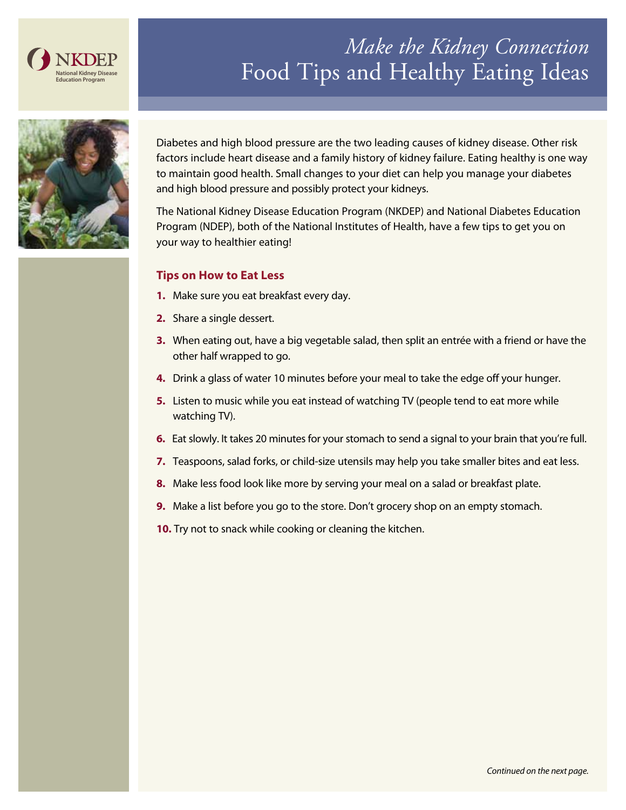

# *Make the Kidney Connection*  Food Tips and Healthy Eating Ideas



Diabetes and high blood pressure are the two leading causes of kidney disease. Other risk factors include heart disease and a family history of kidney failure. Eating healthy is one way to maintain good health. Small changes to your diet can help you manage your diabetes and high blood pressure and possibly protect your kidneys.

The National Kidney Disease Education Program (NKDEP) and National Diabetes Education Program (NDEP), both of the National Institutes of Health, have a few tips to get you on your way to healthier eating!

### **Tips on How to Eat Less**

- **1.** Make sure you eat breakfast every day.
- **2.** Share a single dessert.
- **3.** When eating out, have a big vegetable salad, then split an entrée with a friend or have the other half wrapped to go.
- **4.** Drink a glass of water 10 minutes before your meal to take the edge off your hunger.
- **5.** Listen to music while you eat instead of watching TV (people tend to eat more while watching TV).
- **6.** Eat slowly. It takes 20 minutes for your stomach to send a signal to your brain that you're full.
- **7.** Teaspoons, salad forks, or child-size utensils may help you take smaller bites and eat less.
- **8.** Make less food look like more by serving your meal on a salad or breakfast plate.
- **9.** Make a list before you go to the store. Don't grocery shop on an empty stomach.
- **10.** Try not to snack while cooking or cleaning the kitchen.